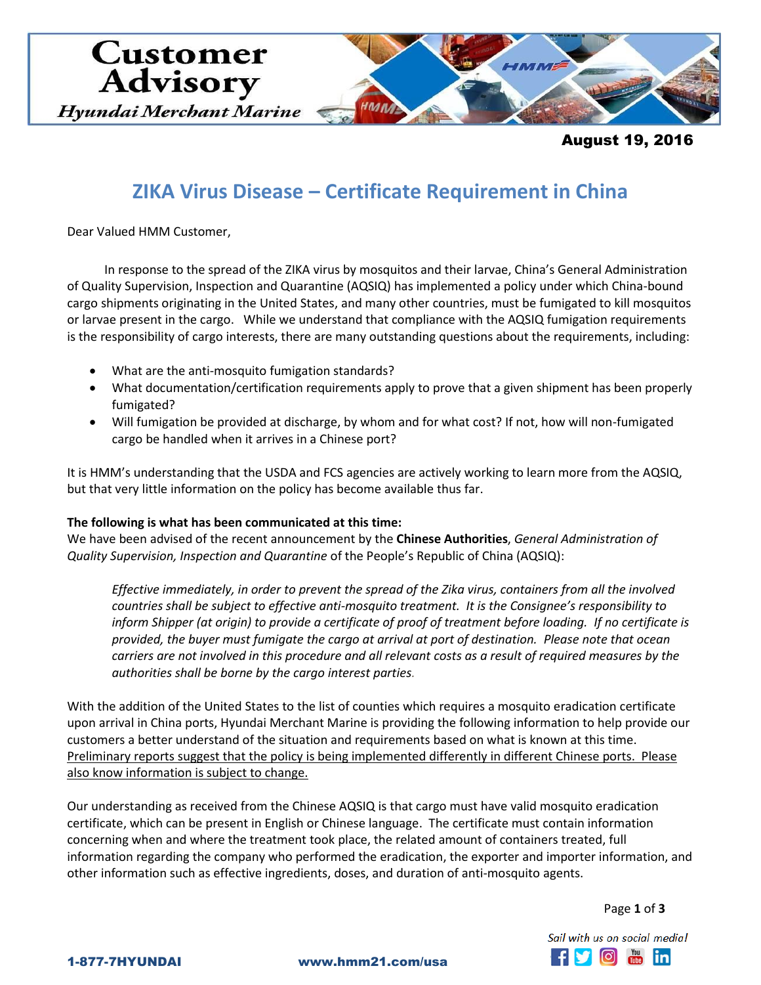

August 19, 2016

# **ZIKA Virus Disease – Certificate Requirement in China**

Dear Valued HMM Customer,

In response to the spread of the ZIKA virus by mosquitos and their larvae, China's General Administration of Quality Supervision, Inspection and Quarantine (AQSIQ) has implemented a policy under which China-bound cargo shipments originating in the United States, and many other countries, must be fumigated to kill mosquitos or larvae present in the cargo. While we understand that compliance with the AQSIQ fumigation requirements is the responsibility of cargo interests, there are many outstanding questions about the requirements, including:

- What are the anti-mosquito fumigation standards?
- What documentation/certification requirements apply to prove that a given shipment has been properly fumigated?
- Will fumigation be provided at discharge, by whom and for what cost? If not, how will non-fumigated cargo be handled when it arrives in a Chinese port?

It is HMM's understanding that the USDA and FCS agencies are actively working to learn more from the AQSIQ, but that very little information on the policy has become available thus far.

#### **The following is what has been communicated at this time:**

We have been advised of the recent announcement by the **Chinese Authorities**, *General Administration of Quality Supervision, Inspection and Quarantine* of the People's Republic of China (AQSIQ):

*Effective immediately, in order to prevent the spread of the Zika virus, containers from all the involved countries shall be subject to effective anti-mosquito treatment. It is the Consignee's responsibility to inform Shipper (at origin) to provide a certificate of proof of treatment before loading. If no certificate is provided, the buyer must fumigate the cargo at arrival at port of destination. Please note that ocean carriers are not involved in this procedure and all relevant costs as a result of required measures by the authorities shall be borne by the cargo interest parties.*

With the addition of the United States to the list of counties which requires a mosquito eradication certificate upon arrival in China ports, Hyundai Merchant Marine is providing the following information to help provide our customers a better understand of the situation and requirements based on what is known at this time. Preliminary reports suggest that the policy is being implemented differently in different Chinese ports. Please also know information is subject to change.

Our understanding as received from the Chinese AQSIQ is that cargo must have valid mosquito eradication certificate, which can be present in English or Chinese language. The certificate must contain information concerning when and where the treatment took place, the related amount of containers treated, full information regarding the company who performed the eradication, the exporter and importer information, and other information such as effective ingredients, doses, and duration of anti-mosquito agents.

Page **1** of **3**

Sail with us on social media! **f f o f in** 

1-877-7HYUNDAI www.hmm21.com/usa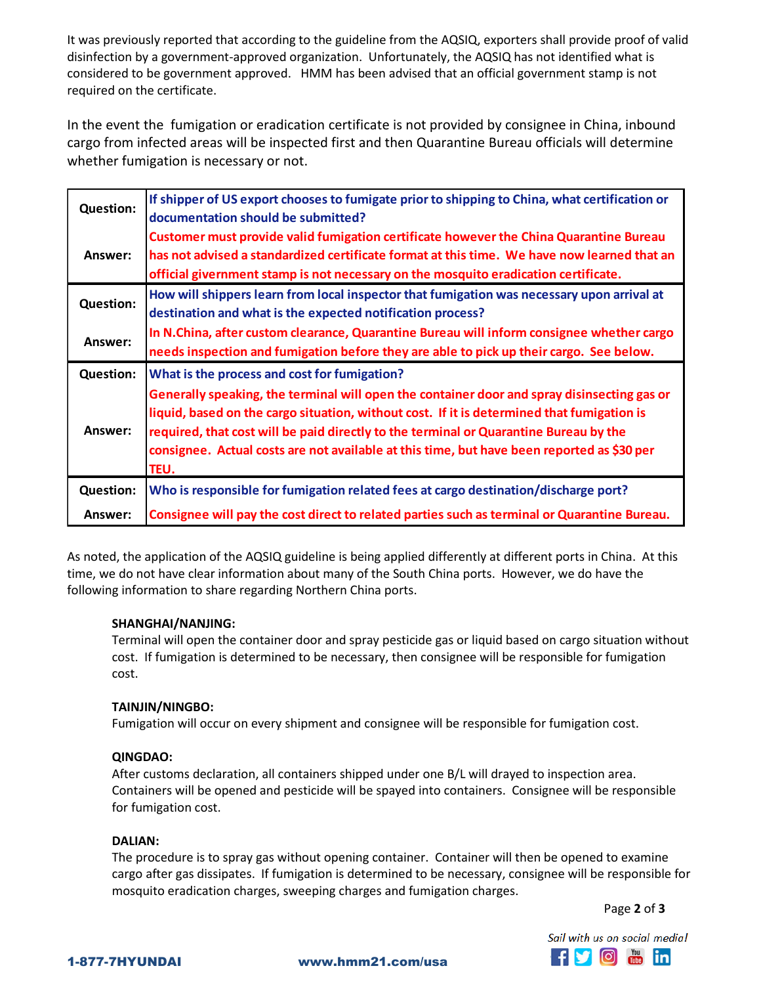It was previously reported that according to the guideline from the AQSIQ, exporters shall provide proof of valid disinfection by a government-approved organization. Unfortunately, the AQSIQ has not identified what is considered to be government approved. HMM has been advised that an official government stamp is not required on the certificate.

In the event the fumigation or eradication certificate is not provided by consignee in China, inbound cargo from infected areas will be inspected first and then Quarantine Bureau officials will determine whether fumigation is necessary or not.

| <b>Question:</b> | If shipper of US export chooses to fumigate prior to shipping to China, what certification or<br>documentation should be submitted?                                                                                                                                                                                                                                                      |
|------------------|------------------------------------------------------------------------------------------------------------------------------------------------------------------------------------------------------------------------------------------------------------------------------------------------------------------------------------------------------------------------------------------|
| Answer:          | Customer must provide valid fumigation certificate however the China Quarantine Bureau<br>has not advised a standardized certificate format at this time. We have now learned that an<br>official givernment stamp is not necessary on the mosquito eradication certificate.                                                                                                             |
| <b>Question:</b> | How will shippers learn from local inspector that fumigation was necessary upon arrival at<br>destination and what is the expected notification process?                                                                                                                                                                                                                                 |
| Answer:          | In N.China, after custom clearance, Quarantine Bureau will inform consignee whether cargo<br>needs inspection and fumigation before they are able to pick up their cargo. See below.                                                                                                                                                                                                     |
| <b>Question:</b> | What is the process and cost for fumigation?                                                                                                                                                                                                                                                                                                                                             |
| Answer:          | Generally speaking, the terminal will open the container door and spray disinsecting gas or<br>liquid, based on the cargo situation, without cost. If it is determined that fumigation is<br>required, that cost will be paid directly to the terminal or Quarantine Bureau by the<br>consignee. Actual costs are not available at this time, but have been reported as \$30 per<br>TEU. |
| <b>Question:</b> | Who is responsible for fumigation related fees at cargo destination/discharge port?                                                                                                                                                                                                                                                                                                      |
|                  |                                                                                                                                                                                                                                                                                                                                                                                          |

As noted, the application of the AQSIQ guideline is being applied differently at different ports in China. At this time, we do not have clear information about many of the South China ports. However, we do have the following information to share regarding Northern China ports.

#### **SHANGHAI/NANJING:**

Terminal will open the container door and spray pesticide gas or liquid based on cargo situation without cost. If fumigation is determined to be necessary, then consignee will be responsible for fumigation cost.

## **TAINJIN/NINGBO:**

Fumigation will occur on every shipment and consignee will be responsible for fumigation cost.

#### **QINGDAO:**

After customs declaration, all containers shipped under one B/L will drayed to inspection area. Containers will be opened and pesticide will be spayed into containers. Consignee will be responsible for fumigation cost.

#### **DALIAN:**

The procedure is to spray gas without opening container. Container will then be opened to examine cargo after gas dissipates. If fumigation is determined to be necessary, consignee will be responsible for mosquito eradication charges, sweeping charges and fumigation charges.

Page **2** of **3**

Sail with us on social media! **fy** of the in

1-877-7HYUNDAI www.hmm21.com/usa